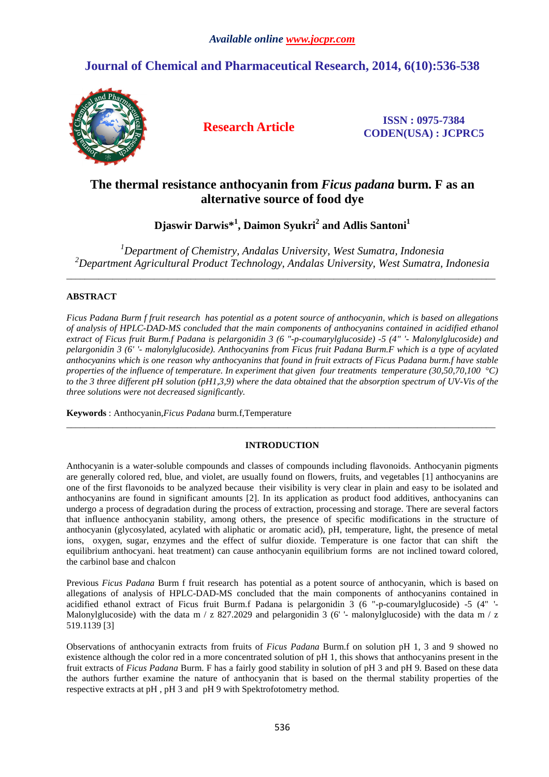# **Journal of Chemical and Pharmaceutical Research, 2014, 6(10):536-538**



**Research Article ISSN : 0975-7384 CODEN(USA) : JCPRC5**

# **The thermal resistance anthocyanin from** *Ficus padana* **burm. F as an alternative source of food dye**

**Djaswir Darwis\*<sup>1</sup> , Daimon Syukri<sup>2</sup> and Adlis Santoni<sup>1</sup>**

*<sup>1</sup>Department of Chemistry, Andalas University, West Sumatra, Indonesia <sup>2</sup>Department Agricultural Product Technology, Andalas University, West Sumatra, Indonesia* 

\_\_\_\_\_\_\_\_\_\_\_\_\_\_\_\_\_\_\_\_\_\_\_\_\_\_\_\_\_\_\_\_\_\_\_\_\_\_\_\_\_\_\_\_\_\_\_\_\_\_\_\_\_\_\_\_\_\_\_\_\_\_\_\_\_\_\_\_\_\_\_\_\_\_\_\_\_\_\_\_\_\_\_\_\_\_\_\_\_\_\_\_\_

# **ABSTRACT**

*Ficus Padana Burm f fruit research has potential as a potent source of anthocyanin, which is based on allegations of analysis of HPLC-DAD-MS concluded that the main components of anthocyanins contained in acidified ethanol extract of Ficus fruit Burm.f Padana is pelargonidin 3 (6 "-p-coumarylglucoside) -5 (4" '- Malonylglucoside) and pelargonidin 3 (6' '- malonylglucoside). Anthocyanins from Ficus fruit Padana Burm.F which is a type of acylated anthocyanins which is one reason why anthocyanins that found in fruit extracts of Ficus Padana burm.f have stable properties of the influence of temperature. In experiment that given four treatments temperature (30,50,70,100 °C) to the 3 three different pH solution (pH1,3,9) where the data obtained that the absorption spectrum of UV-Vis of the three solutions were not decreased significantly.* 

**Keywords** : Anthocyanin,*Ficus Padana* burm.f,Temperature

# **INTRODUCTION**

\_\_\_\_\_\_\_\_\_\_\_\_\_\_\_\_\_\_\_\_\_\_\_\_\_\_\_\_\_\_\_\_\_\_\_\_\_\_\_\_\_\_\_\_\_\_\_\_\_\_\_\_\_\_\_\_\_\_\_\_\_\_\_\_\_\_\_\_\_\_\_\_\_\_\_\_\_\_\_\_\_\_\_\_\_\_\_\_\_\_\_\_\_

Anthocyanin is a water-soluble compounds and classes of compounds including flavonoids. Anthocyanin pigments are generally colored red, blue, and violet, are usually found on flowers, fruits, and vegetables [1] anthocyanins are one of the first flavonoids to be analyzed because their visibility is very clear in plain and easy to be isolated and anthocyanins are found in significant amounts [2]. In its application as product food additives, anthocyanins can undergo a process of degradation during the process of extraction, processing and storage. There are several factors that influence anthocyanin stability, among others, the presence of specific modifications in the structure of anthocyanin (glycosylated, acylated with aliphatic or aromatic acid), pH, temperature, light, the presence of metal ions, oxygen, sugar, enzymes and the effect of sulfur dioxide. Temperature is one factor that can shift the equilibrium anthocyani. heat treatment) can cause anthocyanin equilibrium forms are not inclined toward colored, the carbinol base and chalcon

Previous *Ficus Padana* Burm f fruit research has potential as a potent source of anthocyanin, which is based on allegations of analysis of HPLC-DAD-MS concluded that the main components of anthocyanins contained in acidified ethanol extract of Ficus fruit Burm.f Padana is pelargonidin 3 (6 "-p-coumarylglucoside) -5 (4" '- Malonylglucoside) with the data m / z 827.2029 and pelargonidin 3 (6' - malonylglucoside) with the data m / z 519.1139 [3]

Observations of anthocyanin extracts from fruits of *Ficus Padana* Burm.f on solution pH 1, 3 and 9 showed no existence although the color red in a more concentrated solution of pH 1, this shows that anthocyanins present in the fruit extracts of *Ficus Padana* Burm. F has a fairly good stability in solution of pH 3 and pH 9. Based on these data the authors further examine the nature of anthocyanin that is based on the thermal stability properties of the respective extracts at pH , pH 3 and pH 9 with Spektrofotometry method.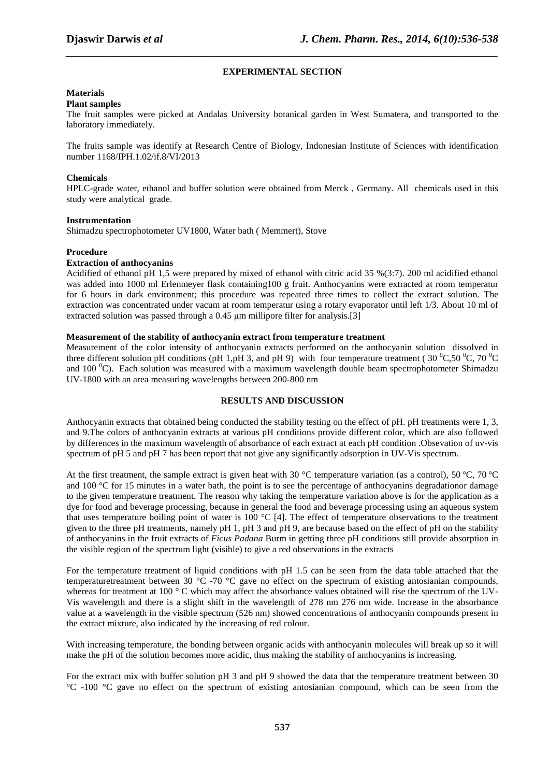# **EXPERIMENTAL SECTION**

*\_\_\_\_\_\_\_\_\_\_\_\_\_\_\_\_\_\_\_\_\_\_\_\_\_\_\_\_\_\_\_\_\_\_\_\_\_\_\_\_\_\_\_\_\_\_\_\_\_\_\_\_\_\_\_\_\_\_\_\_\_\_\_\_\_\_\_\_\_\_\_\_\_\_\_\_\_\_*

### **Materials**

#### **Plant samples**

The fruit samples were picked at Andalas University botanical garden in West Sumatera, and transported to the laboratory immediately.

The fruits sample was identify at Research Centre of Biology, Indonesian Institute of Sciences with identification number 1168/IPH.1.02/if.8/VI/2013

# **Chemicals**

HPLC-grade water, ethanol and buffer solution were obtained from Merck , Germany. All chemicals used in this study were analytical grade.

### **Instrumentation**

Shimadzu spectrophotometer UV1800, Water bath ( Memmert), Stove

#### **Procedure**

# **Extraction of anthocyanins**

Acidified of ethanol pH 1,5 were prepared by mixed of ethanol with citric acid 35 %(3:7). 200 ml acidified ethanol was added into 1000 ml Erlenmeyer flask containing100 g fruit. Anthocyanins were extracted at room temperatur for 6 hours in dark environment; this procedure was repeated three times to collect the extract solution. The extraction was concentrated under vacum at room temperatur using a rotary evaporator until left 1/3. About 10 ml of extracted solution was passed through a 0.45 µm millipore filter for analysis.[3]

#### **Measurement of the stability of anthocyanin extract from temperature treatment**

Measurement of the color intensity of anthocyanin extracts performed on the anthocyanin solution dissolved in three different solution pH conditions (pH 1,pH 3, and pH 9) with four temperature treatment (30  $^0C$ ,50  $^0C$ ,70  $^0C$ and 100  $^{\circ}$ C). Each solution was measured with a maximum wavelength double beam spectrophotometer Shimadzu UV-1800 with an area measuring wavelengths between 200-800 nm

# **RESULTS AND DISCUSSION**

Anthocyanin extracts that obtained being conducted the stability testing on the effect of pH. pH treatments were 1, 3, and 9.The colors of anthocyanin extracts at various pH conditions provide different color, which are also followed by differences in the maximum wavelength of absorbance of each extract at each pH condition .Obsevation of uv-vis spectrum of pH 5 and pH 7 has been report that not give any significantly adsorption in UV-Vis spectrum.

At the first treatment, the sample extract is given heat with 30 °C temperature variation (as a control), 50 °C, 70 °C and 100 °C for 15 minutes in a water bath, the point is to see the percentage of anthocyanins degradationor damage to the given temperature treatment. The reason why taking the temperature variation above is for the application as a dye for food and beverage processing, because in general the food and beverage processing using an aqueous system that uses temperature boiling point of water is 100  $^{\circ}$ C [4]. The effect of temperature observations to the treatment given to the three pH treatments, namely pH 1, pH 3 and pH 9, are because based on the effect of pH on the stability of anthocyanins in the fruit extracts of *Ficus Padana* Burm in getting three pH conditions still provide absorption in the visible region of the spectrum light (visible) to give a red observations in the extracts

For the temperature treatment of liquid conditions with pH 1.5 can be seen from the data table attached that the temperaturetreatment between 30  $^{\circ}$ C -70  $^{\circ}$ C gave no effect on the spectrum of existing antosianian compounds, whereas for treatment at 100  $\degree$  C which may affect the absorbance values obtained will rise the spectrum of the UV-Vis wavelength and there is a slight shift in the wavelength of 278 nm 276 nm wide. Increase in the absorbance value at a wavelength in the visible spectrum (526 nm) showed concentrations of anthocyanin compounds present in the extract mixture, also indicated by the increasing of red colour.

With increasing temperature, the bonding between organic acids with anthocyanin molecules will break up so it will make the pH of the solution becomes more acidic, thus making the stability of anthocyanins is increasing.

For the extract mix with buffer solution pH 3 and pH 9 showed the data that the temperature treatment between 30 °C -100 °C gave no effect on the spectrum of existing antosianian compound, which can be seen from the